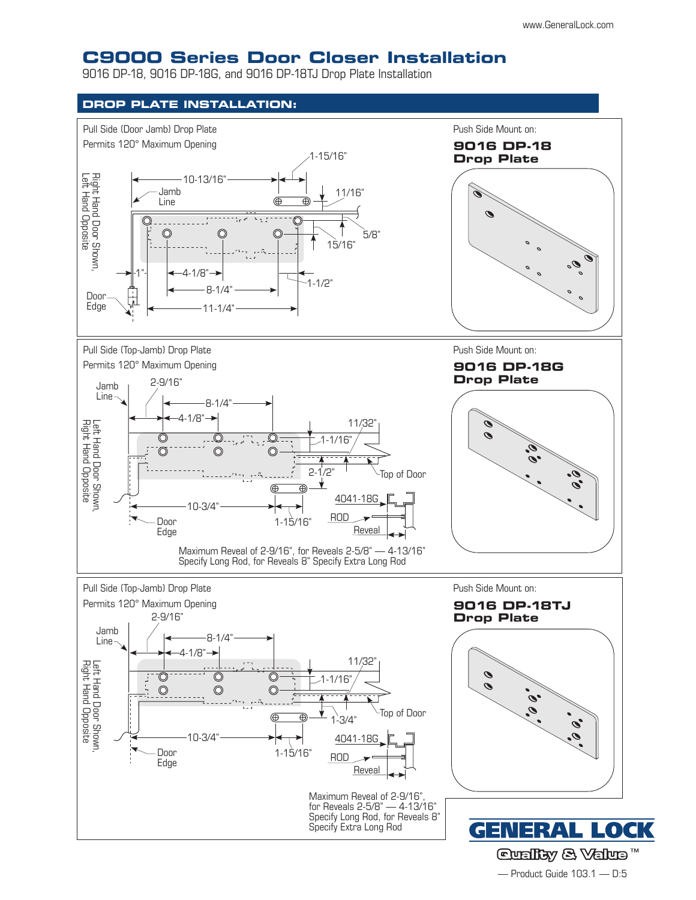## **C9000 Series Door Closer Installation**

9016 DP-18, 9016 DP-18G, and 9016 DP-18TJ Drop Plate Installation





— Product Guide 103.1 — D:5